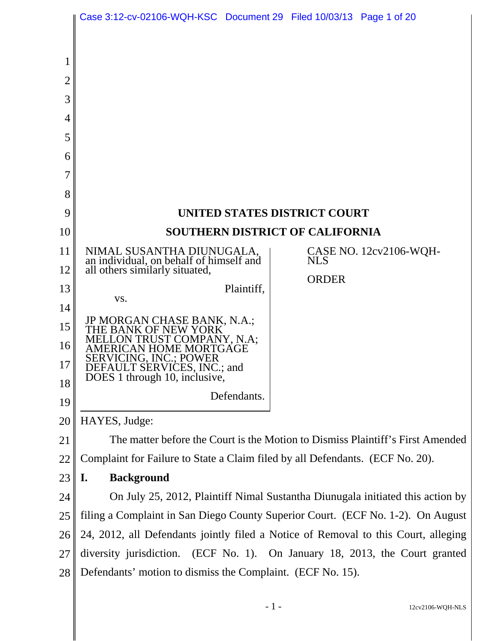|                                         | Case 3:12-cv-02106-WQH-KSC Document 29 Filed 10/03/13 Page 1 of 20                                     |                                                            |  |
|-----------------------------------------|--------------------------------------------------------------------------------------------------------|------------------------------------------------------------|--|
| $\overline{2}$<br>3<br>4<br>5<br>6<br>7 |                                                                                                        |                                                            |  |
| 8                                       |                                                                                                        |                                                            |  |
| 9                                       | UNITED STATES DISTRICT COURT                                                                           |                                                            |  |
| 10                                      | <b>SOUTHERN DISTRICT OF CALIFORNIA</b>                                                                 |                                                            |  |
| 11<br>12                                | NIMAL SUSANTHA DIUNUGALA,<br>an individual, on behalf of himself and<br>all others similarly situated, | CASE NO. 12cv2106-WQH-<br><b>NLS</b>                       |  |
| 13                                      | Plaintiff,                                                                                             | <b>ORDER</b>                                               |  |
| 14                                      | VS.                                                                                                    |                                                            |  |
| 15                                      | JP MORGAN CHASE BANK, N.A.;<br>THE BANK OF NEW YORK<br>MELLON TRUST COMPANY, N.A.                      |                                                            |  |
| 16                                      | TRUST COMPANY, N.A;<br><b><i>IERICAN HOME MORTGAGE</i></b>                                             |                                                            |  |
| 17                                      | <b>SERVICING, INC.: POWER</b><br>DEFAULT SERVICES, INC.; and                                           |                                                            |  |
| 18                                      | DOES 1 through 10, inclusive,<br>Defendants.                                                           |                                                            |  |
| 19                                      |                                                                                                        |                                                            |  |
| 20                                      | HAYES, Judge:                                                                                          |                                                            |  |
| 21                                      | The matter before the Court is the Motion to Dismiss Plaintiff's First Amended                         |                                                            |  |
| 22                                      | Complaint for Failure to State a Claim filed by all Defendants. (ECF No. 20).                          |                                                            |  |
| 23                                      | <b>Background</b><br>I.                                                                                |                                                            |  |
| 24                                      | On July 25, 2012, Plaintiff Nimal Sustantha Diunugala initiated this action by                         |                                                            |  |
| 25                                      | filing a Complaint in San Diego County Superior Court. (ECF No. 1-2). On August                        |                                                            |  |
| 26                                      | 24, 2012, all Defendants jointly filed a Notice of Removal to this Court, alleging                     |                                                            |  |
| 27                                      | diversity jurisdiction. (ECF No. 1). On January 18, 2013, the Court granted                            |                                                            |  |
| 28                                      |                                                                                                        | Defendants' motion to dismiss the Complaint. (ECF No. 15). |  |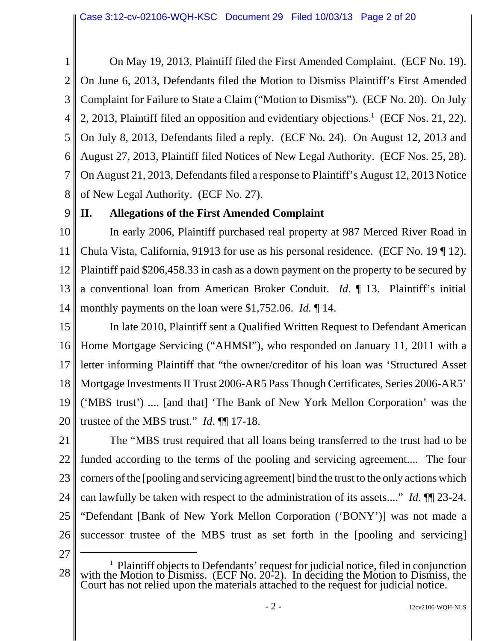1 2 3 4 5 6 7 8 On May 19, 2013, Plaintiff filed the First Amended Complaint. (ECF No. 19). On June 6, 2013, Defendants filed the Motion to Dismiss Plaintiff's First Amended Complaint for Failure to State a Claim ("Motion to Dismiss"). (ECF No. 20). On July 2, 2013, Plaintiff filed an opposition and evidentiary objections.<sup>1</sup> (ECF Nos. 21, 22). On July 8, 2013, Defendants filed a reply. (ECF No. 24). On August 12, 2013 and August 27, 2013, Plaintiff filed Notices of New Legal Authority. (ECF Nos. 25, 28). On August 21, 2013, Defendants filed a response to Plaintiff's August 12, 2013 Notice of New Legal Authority. (ECF No. 27).

9

# **II. Allegations of the First Amended Complaint**

10 11 12 13 14 In early 2006, Plaintiff purchased real property at 987 Merced River Road in Chula Vista, California, 91913 for use as his personal residence. (ECF No. 19 ¶ 12). Plaintiff paid \$206,458.33 in cash as a down payment on the property to be secured by a conventional loan from American Broker Conduit. *Id*. ¶ 13. Plaintiff's initial monthly payments on the loan were \$1,752.06. *Id.* ¶ 14.

15 16 17 18 19 20 In late 2010, Plaintiff sent a Qualified Written Request to Defendant American Home Mortgage Servicing ("AHMSI"), who responded on January 11, 2011 with a letter informing Plaintiff that "the owner/creditor of his loan was 'Structured Asset Mortgage Investments II Trust 2006-AR5 Pass Though Certificates, Series 2006-AR5' ('MBS trust') .... [and that] 'The Bank of New York Mellon Corporation' was the trustee of the MBS trust." *Id*. ¶¶ 17-18.

21 22 23 24 25 26 The "MBS trust required that all loans being transferred to the trust had to be funded according to the terms of the pooling and servicing agreement.... The four corners of the [pooling and servicing agreement] bind the trust to the only actions which can lawfully be taken with respect to the administration of its assets...." *Id*. ¶¶ 23-24. "Defendant [Bank of New York Mellon Corporation ('BONY')] was not made a successor trustee of the MBS trust as set forth in the [pooling and servicing]

27

<sup>28</sup> <sup>1</sup> Plaintiff objects to Defendants' request for judicial notice, filed in conjunction with the Motion to Dismiss. (ECF No. 20-2). In deciding the Motion to Dismiss, the Court has not relied upon the materials attached to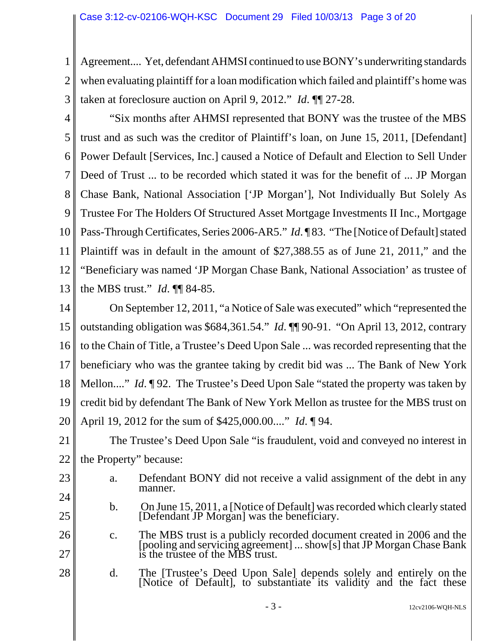1 2 Agreement.... Yet, defendant AHMSI continued to use BONY's underwriting standards when evaluating plaintiff for a loan modification which failed and plaintiff's home was taken at foreclosure auction on April 9, 2012." *Id*. ¶¶ 27-28.

3

4 5 6 7 8 9 10 11 12 13 "Six months after AHMSI represented that BONY was the trustee of the MBS trust and as such was the creditor of Plaintiff's loan, on June 15, 2011, [Defendant] Power Default [Services, Inc.] caused a Notice of Default and Election to Sell Under Deed of Trust ... to be recorded which stated it was for the benefit of ... JP Morgan Chase Bank, National Association ['JP Morgan'], Not Individually But Solely As Trustee For The Holders Of Structured Asset Mortgage Investments II Inc., Mortgage Pass-Through Certificates, Series 2006-AR5." *Id*. ¶ 83. "The [Notice of Default] stated Plaintiff was in default in the amount of \$27,388.55 as of June 21, 2011," and the "Beneficiary was named 'JP Morgan Chase Bank, National Association' as trustee of the MBS trust." *Id*. ¶¶ 84-85.

14 15 16 17 18 19 20 On September 12, 2011, "a Notice of Sale was executed" which "represented the outstanding obligation was \$684,361.54." *Id*. ¶¶ 90-91. "On April 13, 2012, contrary to the Chain of Title, a Trustee's Deed Upon Sale ... was recorded representing that the beneficiary who was the grantee taking by credit bid was ... The Bank of New York Mellon...." *Id*. ¶ 92. The Trustee's Deed Upon Sale "stated the property was taken by credit bid by defendant The Bank of New York Mellon as trustee for the MBS trust on April 19, 2012 for the sum of \$425,000.00...." *Id*. ¶ 94.

21 22 The Trustee's Deed Upon Sale "is fraudulent, void and conveyed no interest in the Property" because:

- 23
- a. Defendant BONY did not receive a valid assignment of the debt in any manner.
- 24 25
- b. On June 15, 2011, a [Notice of Default] was recorded which clearly stated [Defendant JP Morgan] was the beneficiary.
- 26 27 c. The MBS trust is a publicly recorded document created in 2006 and the [pooling and servicing agreement] ... show[s] that JP Morgan Chase Bank is the trustee of the MBS trust.
- 28 d. The [Trustee's Deed Upon Sale] depends solely and entirely on the [Notice of Default], to substantiate its validity and the fact these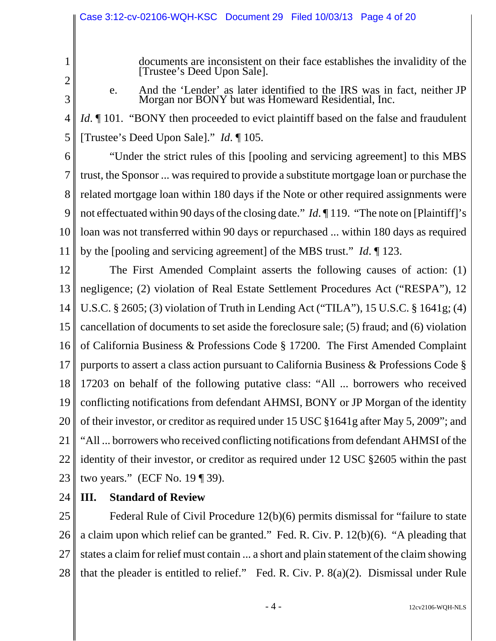documents are inconsistent on their face establishes the invalidity of the [Trustee's Deed Upon Sale].

2 3

1

e. And the 'Lender' as later identified to the IRS was in fact, neither JP Morgan nor BONY but was Homeward Residential, Inc.

4 5 *Id*. ¶ 101. "BONY then proceeded to evict plaintiff based on the false and fraudulent [Trustee's Deed Upon Sale]." *Id*. ¶ 105.

6

7 8 9 10 11 "Under the strict rules of this [pooling and servicing agreement] to this MBS trust, the Sponsor ... was required to provide a substitute mortgage loan or purchase the related mortgage loan within 180 days if the Note or other required assignments were not effectuated within 90 days of the closing date." *Id*. ¶ 119. "The note on [Plaintiff]'s loan was not transferred within 90 days or repurchased ... within 180 days as required by the [pooling and servicing agreement] of the MBS trust." *Id*. ¶ 123.

12 13 14 15 16 17 18 19 20 21 22 23 The First Amended Complaint asserts the following causes of action: (1) negligence; (2) violation of Real Estate Settlement Procedures Act ("RESPA"), 12 U.S.C. § 2605; (3) violation of Truth in Lending Act ("TILA"), 15 U.S.C. § 1641g; (4) cancellation of documents to set aside the foreclosure sale; (5) fraud; and (6) violation of California Business & Professions Code § 17200. The First Amended Complaint purports to assert a class action pursuant to California Business & Professions Code § 17203 on behalf of the following putative class: "All ... borrowers who received conflicting notifications from defendant AHMSI, BONY or JP Morgan of the identity of their investor, or creditor as required under 15 USC §1641g after May 5, 2009"; and "All ... borrowers who received conflicting notifications from defendant AHMSI of the identity of their investor, or creditor as required under 12 USC §2605 within the past two years." (ECF No. 19 ¶ 39).

24

# **III. Standard of Review**

25 26 27 28 Federal Rule of Civil Procedure 12(b)(6) permits dismissal for "failure to state a claim upon which relief can be granted." Fed. R. Civ. P. 12(b)(6). "A pleading that states a claim for relief must contain ... a short and plain statement of the claim showing that the pleader is entitled to relief." Fed. R. Civ. P. 8(a)(2). Dismissal under Rule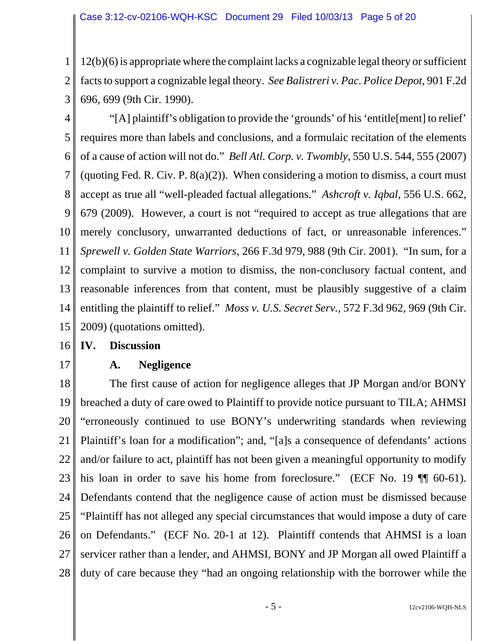1 2 3 12(b)(6) is appropriate where the complaint lacks a cognizable legal theory or sufficient facts to support a cognizable legal theory. *See Balistreri v. Pac. Police Depot*, 901 F.2d 696, 699 (9th Cir. 1990).

4 5 6 7 8 9 10 11 12 13 14 15 "[A] plaintiff's obligation to provide the 'grounds' of his 'entitle[ment] to relief' requires more than labels and conclusions, and a formulaic recitation of the elements of a cause of action will not do." *Bell Atl. Corp. v. Twombly*, 550 U.S. 544, 555 (2007) (quoting Fed. R. Civ. P.  $8(a)(2)$ ). When considering a motion to dismiss, a court must accept as true all "well-pleaded factual allegations." *Ashcroft v. Iqbal*, 556 U.S. 662, 679 (2009). However, a court is not "required to accept as true allegations that are merely conclusory, unwarranted deductions of fact, or unreasonable inferences." *Sprewell v. Golden State Warriors*, 266 F.3d 979, 988 (9th Cir. 2001). "In sum, for a complaint to survive a motion to dismiss, the non-conclusory factual content, and reasonable inferences from that content, must be plausibly suggestive of a claim entitling the plaintiff to relief." *Moss v. U.S. Secret Serv.*, 572 F.3d 962, 969 (9th Cir. 2009) (quotations omitted).

- 16 **IV. Discussion**
- 17

**A. Negligence**

18 19 20 21 22 23 24 25 26 27 28 The first cause of action for negligence alleges that JP Morgan and/or BONY breached a duty of care owed to Plaintiff to provide notice pursuant to TILA; AHMSI "erroneously continued to use BONY's underwriting standards when reviewing Plaintiff's loan for a modification"; and, "[a]s a consequence of defendants' actions and/or failure to act, plaintiff has not been given a meaningful opportunity to modify his loan in order to save his home from foreclosure." (ECF No. 19  $\P$  60-61). Defendants contend that the negligence cause of action must be dismissed because "Plaintiff has not alleged any special circumstances that would impose a duty of care on Defendants." (ECF No. 20-1 at 12). Plaintiff contends that AHMSI is a loan servicer rather than a lender, and AHMSI, BONY and JP Morgan all owed Plaintiff a duty of care because they "had an ongoing relationship with the borrower while the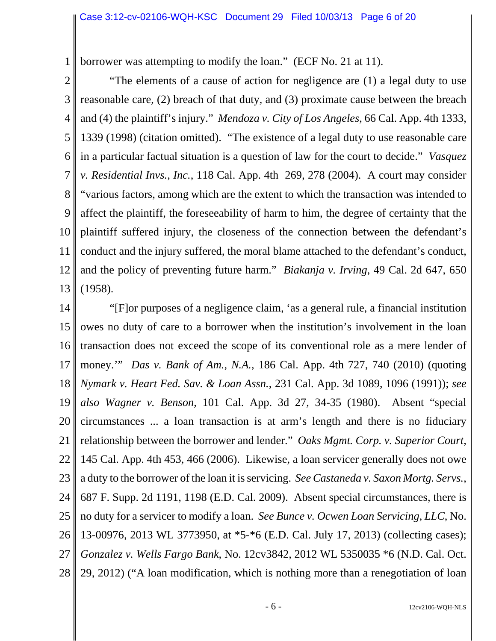1 borrower was attempting to modify the loan." (ECF No. 21 at 11).

2

3 4 5 6 7 8 9 10 11 12 13 "The elements of a cause of action for negligence are (1) a legal duty to use reasonable care, (2) breach of that duty, and (3) proximate cause between the breach and (4) the plaintiff's injury." *Mendoza v. City of Los Angeles*, 66 Cal. App. 4th 1333, 1339 (1998) (citation omitted). "The existence of a legal duty to use reasonable care in a particular factual situation is a question of law for the court to decide." *Vasquez v. Residential Invs., Inc.*, 118 Cal. App. 4th 269, 278 (2004). A court may consider "various factors, among which are the extent to which the transaction was intended to affect the plaintiff, the foreseeability of harm to him, the degree of certainty that the plaintiff suffered injury, the closeness of the connection between the defendant's conduct and the injury suffered, the moral blame attached to the defendant's conduct, and the policy of preventing future harm." *Biakanja v. Irving*, 49 Cal. 2d 647, 650 (1958).

14 15 16 17 18 19 20 21 22 23 24 25 26 27 28 "[F]or purposes of a negligence claim, 'as a general rule, a financial institution owes no duty of care to a borrower when the institution's involvement in the loan transaction does not exceed the scope of its conventional role as a mere lender of money.'" *Das v. Bank of Am., N.A.*, 186 Cal. App. 4th 727, 740 (2010) (quoting *Nymark v. Heart Fed. Sav. & Loan Assn.*, 231 Cal. App. 3d 1089, 1096 (1991)); *see also Wagner v. Benson*, 101 Cal. App. 3d 27, 34-35 (1980). Absent "special circumstances ... a loan transaction is at arm's length and there is no fiduciary relationship between the borrower and lender." *Oaks Mgmt. Corp. v. Superior Court*, 145 Cal. App. 4th 453, 466 (2006). Likewise, a loan servicer generally does not owe a duty to the borrower of the loan it is servicing. *See Castaneda v. Saxon Mortg. Servs.*, 687 F. Supp. 2d 1191, 1198 (E.D. Cal. 2009). Absent special circumstances, there is no duty for a servicer to modify a loan. *See Bunce v. Ocwen Loan Servicing, LLC*, No. 13-00976, 2013 WL 3773950, at \*5-\*6 (E.D. Cal. July 17, 2013) (collecting cases); *Gonzalez v. Wells Fargo Bank*, No. 12cv3842, 2012 WL 5350035 \*6 (N.D. Cal. Oct. 29, 2012) ("A loan modification, which is nothing more than a renegotiation of loan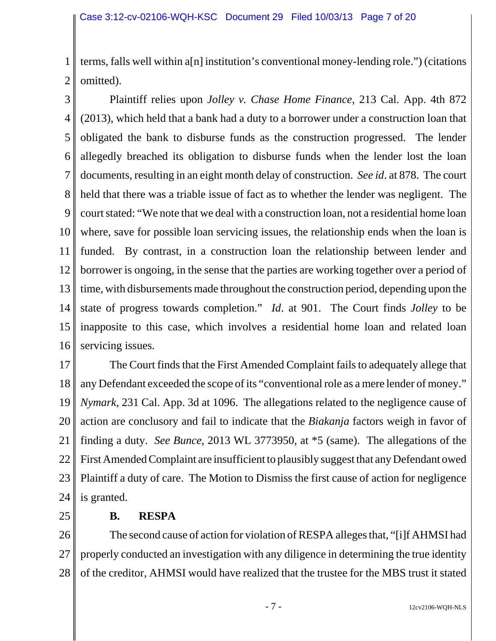1 2 terms, falls well within a[n] institution's conventional money-lending role.") (citations omitted).

3 4 5 6 7 8 9 10 11 12 13 14 15 16 Plaintiff relies upon *Jolley v. Chase Home Finance*, 213 Cal. App. 4th 872 (2013), which held that a bank had a duty to a borrower under a construction loan that obligated the bank to disburse funds as the construction progressed. The lender allegedly breached its obligation to disburse funds when the lender lost the loan documents, resulting in an eight month delay of construction. *See id*. at 878. The court held that there was a triable issue of fact as to whether the lender was negligent. The court stated: "We note that we deal with a construction loan, not a residential home loan where, save for possible loan servicing issues, the relationship ends when the loan is funded. By contrast, in a construction loan the relationship between lender and borrower is ongoing, in the sense that the parties are working together over a period of time, with disbursements made throughout the construction period, depending upon the state of progress towards completion." *Id*. at 901. The Court finds *Jolley* to be inapposite to this case, which involves a residential home loan and related loan servicing issues.

17 18 19 20 21 22 23 24 The Court finds that the First Amended Complaint fails to adequately allege that any Defendant exceeded the scope of its "conventional role as a mere lender of money." *Nymark*, 231 Cal. App. 3d at 1096. The allegations related to the negligence cause of action are conclusory and fail to indicate that the *Biakanja* factors weigh in favor of finding a duty. *See Bunce*, 2013 WL 3773950, at \*5 (same). The allegations of the First Amended Complaint are insufficient to plausibly suggest that any Defendant owed Plaintiff a duty of care. The Motion to Dismiss the first cause of action for negligence is granted.

25

### **B. RESPA**

26 27 28 The second cause of action for violation of RESPA alleges that, "[i]f AHMSI had properly conducted an investigation with any diligence in determining the true identity of the creditor, AHMSI would have realized that the trustee for the MBS trust it stated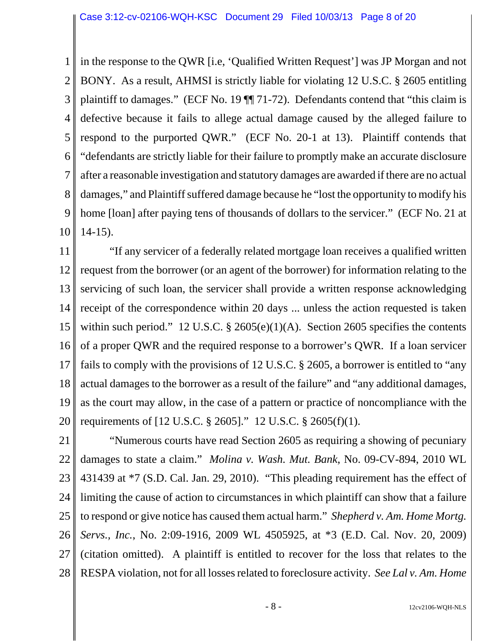1 2 3 4 5 6 7 8 9 10 in the response to the QWR [i.e, 'Qualified Written Request'] was JP Morgan and not BONY. As a result, AHMSI is strictly liable for violating 12 U.S.C. § 2605 entitling plaintiff to damages." (ECF No. 19 ¶¶ 71-72). Defendants contend that "this claim is defective because it fails to allege actual damage caused by the alleged failure to respond to the purported QWR." (ECF No. 20-1 at 13). Plaintiff contends that "defendants are strictly liable for their failure to promptly make an accurate disclosure after a reasonable investigation and statutory damages are awarded if there are no actual damages," and Plaintiff suffered damage because he "lost the opportunity to modify his home [loan] after paying tens of thousands of dollars to the servicer." (ECF No. 21 at 14-15).

11 12 13 14 15 16 17 18 19 20 "If any servicer of a federally related mortgage loan receives a qualified written request from the borrower (or an agent of the borrower) for information relating to the servicing of such loan, the servicer shall provide a written response acknowledging receipt of the correspondence within 20 days ... unless the action requested is taken within such period." 12 U.S.C.  $\S$  2605(e)(1)(A). Section 2605 specifies the contents of a proper QWR and the required response to a borrower's QWR. If a loan servicer fails to comply with the provisions of 12 U.S.C. § 2605, a borrower is entitled to "any actual damages to the borrower as a result of the failure" and "any additional damages, as the court may allow, in the case of a pattern or practice of noncompliance with the requirements of [12 U.S.C. § 2605]." 12 U.S.C. § 2605(f)(1).

21 22 23 24 25 26 27 28 "Numerous courts have read Section 2605 as requiring a showing of pecuniary damages to state a claim." *Molina v. Wash. Mut. Bank*, No. 09-CV-894, 2010 WL 431439 at \*7 (S.D. Cal. Jan. 29, 2010). "This pleading requirement has the effect of limiting the cause of action to circumstances in which plaintiff can show that a failure to respond or give notice has caused them actual harm." *Shepherd v. Am. Home Mortg. Servs., Inc.*, No. 2:09-1916, 2009 WL 4505925, at \*3 (E.D. Cal. Nov. 20, 2009) (citation omitted). A plaintiff is entitled to recover for the loss that relates to the RESPA violation, not for all losses related to foreclosure activity. *See Lal v. Am. Home*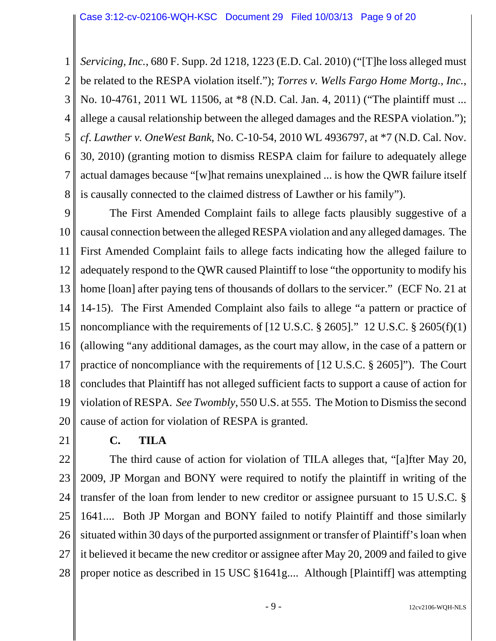1 2 3 4 5 6 7 8 *Servicing, Inc.*, 680 F. Supp. 2d 1218, 1223 (E.D. Cal. 2010) ("[T]he loss alleged must be related to the RESPA violation itself."); *Torres v. Wells Fargo Home Mortg., Inc.*, No. 10-4761, 2011 WL 11506, at \*8 (N.D. Cal. Jan. 4, 2011) ("The plaintiff must ... allege a causal relationship between the alleged damages and the RESPA violation."); *cf*. *Lawther v. OneWest Bank*, No. C-10-54, 2010 WL 4936797, at \*7 (N.D. Cal. Nov. 30, 2010) (granting motion to dismiss RESPA claim for failure to adequately allege actual damages because "[w]hat remains unexplained ... is how the QWR failure itself is causally connected to the claimed distress of Lawther or his family").

9 10 11 12 13 14 15 16 17 18 19 20 The First Amended Complaint fails to allege facts plausibly suggestive of a causal connection between the alleged RESPA violation and any alleged damages. The First Amended Complaint fails to allege facts indicating how the alleged failure to adequately respond to the QWR caused Plaintiff to lose "the opportunity to modify his home [loan] after paying tens of thousands of dollars to the servicer." (ECF No. 21 at 14-15). The First Amended Complaint also fails to allege "a pattern or practice of noncompliance with the requirements of  $[12 \text{ U.S.C.} \$   $[2605]$ ."  $12 \text{ U.S.C.} \$   $[2605(f)(1)]$ (allowing "any additional damages, as the court may allow, in the case of a pattern or practice of noncompliance with the requirements of [12 U.S.C. § 2605]"). The Court concludes that Plaintiff has not alleged sufficient facts to support a cause of action for violation of RESPA. *See Twombly*, 550 U.S. at 555. The Motion to Dismiss the second cause of action for violation of RESPA is granted.

21

### **C. TILA**

22 23 24 25 26 27 28 The third cause of action for violation of TILA alleges that, "[a]fter May 20, 2009, JP Morgan and BONY were required to notify the plaintiff in writing of the transfer of the loan from lender to new creditor or assignee pursuant to 15 U.S.C. § 1641.... Both JP Morgan and BONY failed to notify Plaintiff and those similarly situated within 30 days of the purported assignment or transfer of Plaintiff's loan when it believed it became the new creditor or assignee after May 20, 2009 and failed to give proper notice as described in 15 USC §1641g.... Although [Plaintiff] was attempting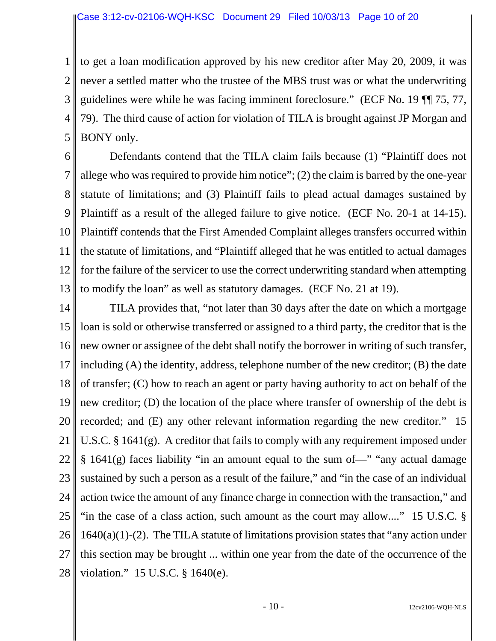1 2 3 4 5 to get a loan modification approved by his new creditor after May 20, 2009, it was never a settled matter who the trustee of the MBS trust was or what the underwriting guidelines were while he was facing imminent foreclosure." (ECF No. 19 ¶¶ 75, 77, 79). The third cause of action for violation of TILA is brought against JP Morgan and BONY only.

6 7 8 9 10 11 12 13 Defendants contend that the TILA claim fails because (1) "Plaintiff does not allege who was required to provide him notice"; (2) the claim is barred by the one-year statute of limitations; and (3) Plaintiff fails to plead actual damages sustained by Plaintiff as a result of the alleged failure to give notice. (ECF No. 20-1 at 14-15). Plaintiff contends that the First Amended Complaint alleges transfers occurred within the statute of limitations, and "Plaintiff alleged that he was entitled to actual damages for the failure of the servicer to use the correct underwriting standard when attempting to modify the loan" as well as statutory damages. (ECF No. 21 at 19).

14 15 16 17 18 19 20 21 22 23 24 25 26 27 28 TILA provides that, "not later than 30 days after the date on which a mortgage loan is sold or otherwise transferred or assigned to a third party, the creditor that is the new owner or assignee of the debt shall notify the borrower in writing of such transfer, including (A) the identity, address, telephone number of the new creditor; (B) the date of transfer; (C) how to reach an agent or party having authority to act on behalf of the new creditor; (D) the location of the place where transfer of ownership of the debt is recorded; and (E) any other relevant information regarding the new creditor." 15 U.S.C. § 1641(g). A creditor that fails to comply with any requirement imposed under § 1641(g) faces liability "in an amount equal to the sum of—" "any actual damage sustained by such a person as a result of the failure," and "in the case of an individual action twice the amount of any finance charge in connection with the transaction," and "in the case of a class action, such amount as the court may allow...." 15 U.S.C. §  $1640(a)(1)-(2)$ . The TILA statute of limitations provision states that "any action under" this section may be brought ... within one year from the date of the occurrence of the violation." 15 U.S.C. § 1640(e).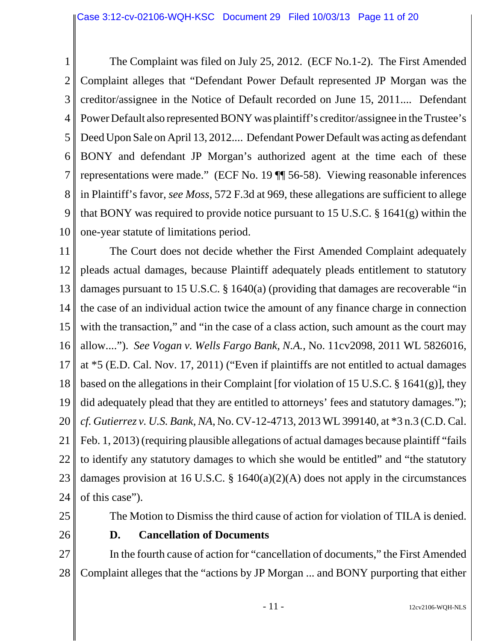1 2 3 4 5 6 7 8 9 10 The Complaint was filed on July 25, 2012. (ECF No.1-2). The First Amended Complaint alleges that "Defendant Power Default represented JP Morgan was the creditor/assignee in the Notice of Default recorded on June 15, 2011.... Defendant Power Default also represented BONY was plaintiff's creditor/assignee in the Trustee's Deed Upon Sale on April 13, 2012.... Defendant Power Default was acting as defendant BONY and defendant JP Morgan's authorized agent at the time each of these representations were made." (ECF No. 19 ¶¶ 56-58). Viewing reasonable inferences in Plaintiff's favor, *see Moss*, 572 F.3d at 969, these allegations are sufficient to allege that BONY was required to provide notice pursuant to 15 U.S.C. § 1641(g) within the one-year statute of limitations period.

11 12 13 14 15 16 17 18 19 20 21 22 23 24 The Court does not decide whether the First Amended Complaint adequately pleads actual damages, because Plaintiff adequately pleads entitlement to statutory damages pursuant to 15 U.S.C. § 1640(a) (providing that damages are recoverable "in the case of an individual action twice the amount of any finance charge in connection with the transaction," and "in the case of a class action, such amount as the court may allow...."). *See Vogan v. Wells Fargo Bank, N.A.*, No. 11cv2098, 2011 WL 5826016, at \*5 (E.D. Cal. Nov. 17, 2011) ("Even if plaintiffs are not entitled to actual damages based on the allegations in their Complaint [for violation of 15 U.S.C. § 1641(g)], they did adequately plead that they are entitled to attorneys' fees and statutory damages."); *cf. Gutierrez v. U.S. Bank, NA*, No. CV-12-4713, 2013 WL 399140, at \*3 n.3 (C.D. Cal. Feb. 1, 2013) (requiring plausible allegations of actual damages because plaintiff "fails to identify any statutory damages to which she would be entitled" and "the statutory damages provision at 16 U.S.C. § 1640(a)(2)(A) does not apply in the circumstances of this case").

- 25
- 26

### **D. Cancellation of Documents**

27 28 In the fourth cause of action for "cancellation of documents," the First Amended Complaint alleges that the "actions by JP Morgan ... and BONY purporting that either

The Motion to Dismiss the third cause of action for violation of TILA is denied.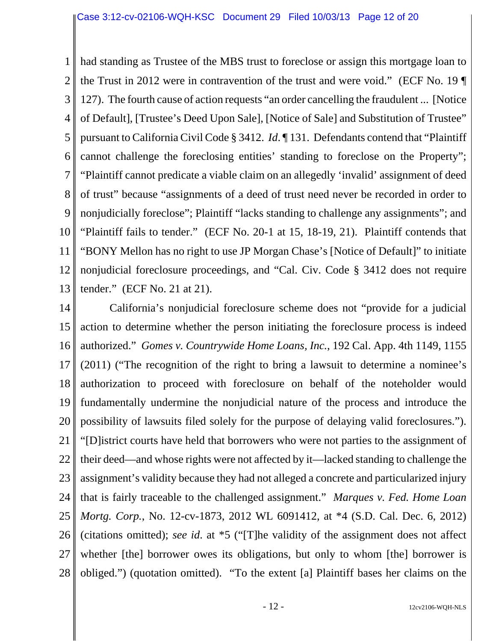1 2 3 4 5 6 7 8 9 10 11 12 13 had standing as Trustee of the MBS trust to foreclose or assign this mortgage loan to the Trust in 2012 were in contravention of the trust and were void." (ECF No. 19 ¶ 127). The fourth cause of action requests "an order cancelling the fraudulent ... [Notice of Default], [Trustee's Deed Upon Sale], [Notice of Sale] and Substitution of Trustee" pursuant to California Civil Code § 3412. *Id*. ¶ 131. Defendants contend that "Plaintiff cannot challenge the foreclosing entities' standing to foreclose on the Property"; "Plaintiff cannot predicate a viable claim on an allegedly 'invalid' assignment of deed of trust" because "assignments of a deed of trust need never be recorded in order to nonjudicially foreclose"; Plaintiff "lacks standing to challenge any assignments"; and "Plaintiff fails to tender." (ECF No. 20-1 at 15, 18-19, 21). Plaintiff contends that "BONY Mellon has no right to use JP Morgan Chase's [Notice of Default]" to initiate nonjudicial foreclosure proceedings, and "Cal. Civ. Code § 3412 does not require tender." (ECF No. 21 at 21).

14 15 16 17 18 19 20 21 22 23 24 25 26 27 28 California's nonjudicial foreclosure scheme does not "provide for a judicial action to determine whether the person initiating the foreclosure process is indeed authorized." *Gomes v. Countrywide Home Loans, Inc.*, 192 Cal. App. 4th 1149, 1155 (2011) ("The recognition of the right to bring a lawsuit to determine a nominee's authorization to proceed with foreclosure on behalf of the noteholder would fundamentally undermine the nonjudicial nature of the process and introduce the possibility of lawsuits filed solely for the purpose of delaying valid foreclosures."). "[D]istrict courts have held that borrowers who were not parties to the assignment of their deed—and whose rights were not affected by it—lacked standing to challenge the assignment's validity because they had not alleged a concrete and particularized injury that is fairly traceable to the challenged assignment." *Marques v. Fed. Home Loan Mortg. Corp.*, No. 12-cv-1873, 2012 WL 6091412, at \*4 (S.D. Cal. Dec. 6, 2012) (citations omitted); *see id*. at \*5 ("[T]he validity of the assignment does not affect whether [the] borrower owes its obligations, but only to whom [the] borrower is obliged.") (quotation omitted). "To the extent [a] Plaintiff bases her claims on the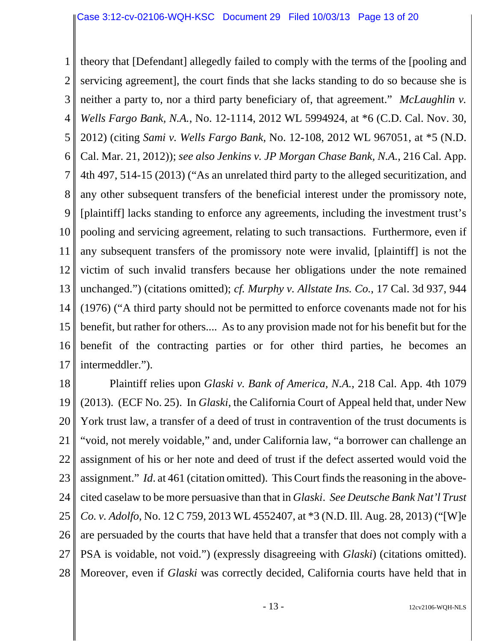1 2 3 4 5 6 7 8 9 10 11 12 13 14 15 16 17 theory that [Defendant] allegedly failed to comply with the terms of the [pooling and servicing agreement], the court finds that she lacks standing to do so because she is neither a party to, nor a third party beneficiary of, that agreement." *McLaughlin v. Wells Fargo Bank, N.A.*, No. 12-1114, 2012 WL 5994924, at \*6 (C.D. Cal. Nov. 30, 2012) (citing *Sami v. Wells Fargo Bank*, No. 12-108, 2012 WL 967051, at \*5 (N.D. Cal. Mar. 21, 2012)); *see also Jenkins v. JP Morgan Chase Bank, N.A.*, 216 Cal. App. 4th 497, 514-15 (2013) ("As an unrelated third party to the alleged securitization, and any other subsequent transfers of the beneficial interest under the promissory note, [plaintiff] lacks standing to enforce any agreements, including the investment trust's pooling and servicing agreement, relating to such transactions. Furthermore, even if any subsequent transfers of the promissory note were invalid, [plaintiff] is not the victim of such invalid transfers because her obligations under the note remained unchanged.") (citations omitted); *cf. Murphy v. Allstate Ins. Co.*, 17 Cal. 3d 937, 944 (1976) ("A third party should not be permitted to enforce covenants made not for his benefit, but rather for others.... As to any provision made not for his benefit but for the benefit of the contracting parties or for other third parties, he becomes an intermeddler.").

18 19 20 21 22 23 24 25 26 27 28 Plaintiff relies upon *Glaski v. Bank of America, N.A.*, 218 Cal. App. 4th 1079 (2013). (ECF No. 25). In *Glaski*, the California Court of Appeal held that, under New York trust law, a transfer of a deed of trust in contravention of the trust documents is "void, not merely voidable," and, under California law, "a borrower can challenge an assignment of his or her note and deed of trust if the defect asserted would void the assignment." *Id*. at 461 (citation omitted). This Court finds the reasoning in the abovecited caselaw to be more persuasive than that in *Glaski*. *See Deutsche Bank Nat'l Trust Co. v. Adolfo*, No. 12 C 759, 2013 WL 4552407, at \*3 (N.D. Ill. Aug. 28, 2013) ("[W]e are persuaded by the courts that have held that a transfer that does not comply with a PSA is voidable, not void.") (expressly disagreeing with *Glaski*) (citations omitted). Moreover, even if *Glaski* was correctly decided, California courts have held that in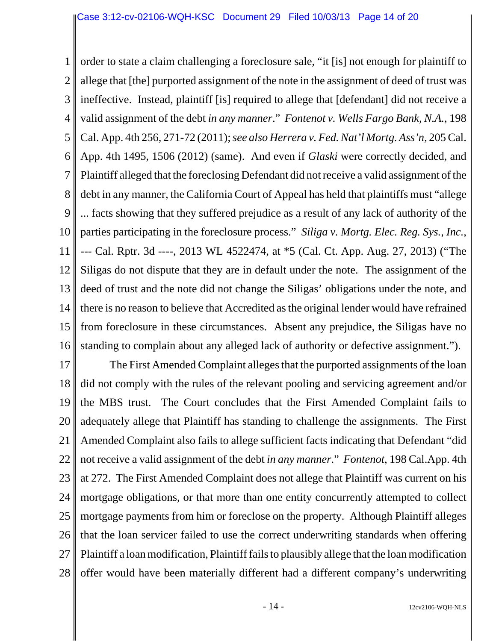1 2 3 4 5 6 7 8 9 10 11 12 13 14 15 16 order to state a claim challenging a foreclosure sale, "it [is] not enough for plaintiff to allege that [the] purported assignment of the note in the assignment of deed of trust was ineffective. Instead, plaintiff [is] required to allege that [defendant] did not receive a valid assignment of the debt *in any manner*." *Fontenot v. Wells Fargo Bank, N.A.*, 198 Cal. App. 4th 256, 271-72 (2011); *see also Herrera v. Fed. Nat'l Mortg. Ass'n*, 205 Cal. App. 4th 1495, 1506 (2012) (same). And even if *Glaski* were correctly decided, and Plaintiff alleged that the foreclosing Defendant did not receive a valid assignment of the debt in any manner, the California Court of Appeal has held that plaintiffs must "allege ... facts showing that they suffered prejudice as a result of any lack of authority of the parties participating in the foreclosure process." *Siliga v. Mortg. Elec. Reg. Sys., Inc.*, --- Cal. Rptr. 3d ----, 2013 WL 4522474, at \*5 (Cal. Ct. App. Aug. 27, 2013) ("The Siligas do not dispute that they are in default under the note. The assignment of the deed of trust and the note did not change the Siligas' obligations under the note, and there is no reason to believe that Accredited as the original lender would have refrained from foreclosure in these circumstances. Absent any prejudice, the Siligas have no standing to complain about any alleged lack of authority or defective assignment.").

17 18 19 20 21 22 23 24 25 26 27 28 The First Amended Complaint alleges that the purported assignments of the loan did not comply with the rules of the relevant pooling and servicing agreement and/or the MBS trust. The Court concludes that the First Amended Complaint fails to adequately allege that Plaintiff has standing to challenge the assignments. The First Amended Complaint also fails to allege sufficient facts indicating that Defendant "did not receive a valid assignment of the debt *in any manner*." *Fontenot*, 198 Cal.App. 4th at 272. The First Amended Complaint does not allege that Plaintiff was current on his mortgage obligations, or that more than one entity concurrently attempted to collect mortgage payments from him or foreclose on the property. Although Plaintiff alleges that the loan servicer failed to use the correct underwriting standards when offering Plaintiff a loan modification, Plaintiff fails to plausibly allege that the loan modification offer would have been materially different had a different company's underwriting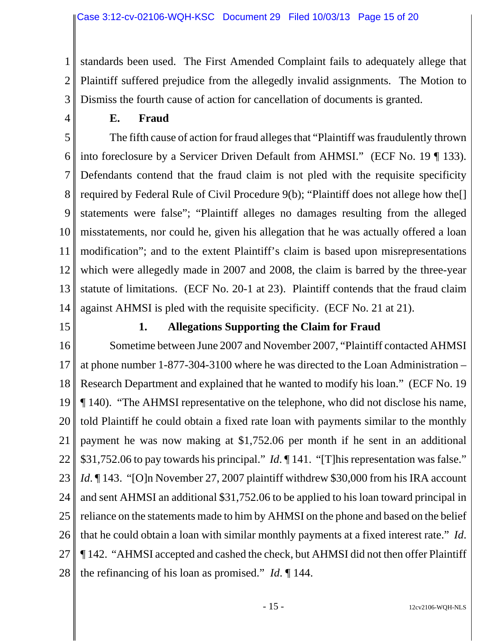1 2 3 standards been used. The First Amended Complaint fails to adequately allege that Plaintiff suffered prejudice from the allegedly invalid assignments. The Motion to Dismiss the fourth cause of action for cancellation of documents is granted.

4

### **E. Fraud**

5 6 7 8 9 10 11 12 13 14 The fifth cause of action for fraud alleges that "Plaintiff was fraudulently thrown into foreclosure by a Servicer Driven Default from AHMSI." (ECF No. 19 ¶ 133). Defendants contend that the fraud claim is not pled with the requisite specificity required by Federal Rule of Civil Procedure 9(b); "Plaintiff does not allege how the[] statements were false"; "Plaintiff alleges no damages resulting from the alleged misstatements, nor could he, given his allegation that he was actually offered a loan modification"; and to the extent Plaintiff's claim is based upon misrepresentations which were allegedly made in 2007 and 2008, the claim is barred by the three-year statute of limitations. (ECF No. 20-1 at 23). Plaintiff contends that the fraud claim against AHMSI is pled with the requisite specificity. (ECF No. 21 at 21).

15

# **1. Allegations Supporting the Claim for Fraud**

16 17 18 19 20 21 22 23 24 25 26 27 28 Sometime between June 2007 and November 2007, "Plaintiff contacted AHMSI at phone number 1-877-304-3100 where he was directed to the Loan Administration – Research Department and explained that he wanted to modify his loan." (ECF No. 19 ¶ 140). "The AHMSI representative on the telephone, who did not disclose his name, told Plaintiff he could obtain a fixed rate loan with payments similar to the monthly payment he was now making at \$1,752.06 per month if he sent in an additional \$31,752.06 to pay towards his principal." *Id*. 141. "[T] his representation was false." *Id*. ¶ 143. "[O]n November 27, 2007 plaintiff withdrew \$30,000 from his IRA account and sent AHMSI an additional \$31,752.06 to be applied to his loan toward principal in reliance on the statements made to him by AHMSI on the phone and based on the belief that he could obtain a loan with similar monthly payments at a fixed interest rate." *Id*. ¶ 142. "AHMSI accepted and cashed the check, but AHMSI did not then offer Plaintiff the refinancing of his loan as promised." *Id*. ¶ 144.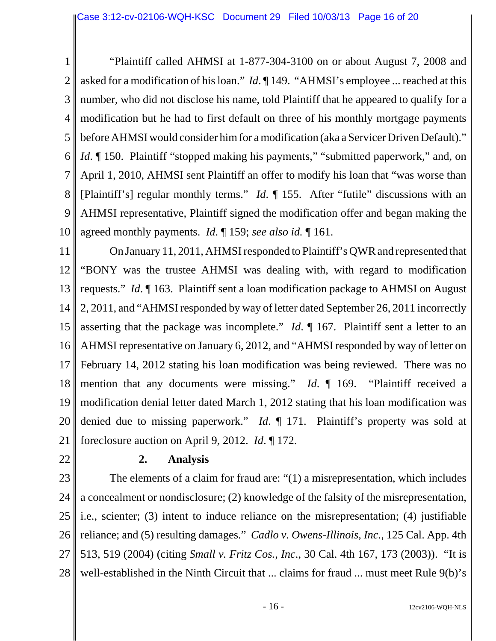1 2 3 4 5 6 7 8 9 10 "Plaintiff called AHMSI at 1-877-304-3100 on or about August 7, 2008 and asked for a modification of his loan." *Id*. ¶ 149. "AHMSI's employee ... reached at this number, who did not disclose his name, told Plaintiff that he appeared to qualify for a modification but he had to first default on three of his monthly mortgage payments before AHMSI would consider him for a modification (aka a Servicer Driven Default)." *Id.* 150. Plaintiff "stopped making his payments," "submitted paperwork," and, on April 1, 2010, AHMSI sent Plaintiff an offer to modify his loan that "was worse than [Plaintiff's] regular monthly terms." *Id*. ¶ 155. After "futile" discussions with an AHMSI representative, Plaintiff signed the modification offer and began making the agreed monthly payments. *Id*. ¶ 159; *see also id.* ¶ 161.

11 12 13 14 15 16 17 18 19 20 21 On January 11, 2011, AHMSI responded to Plaintiff's QWR and represented that "BONY was the trustee AHMSI was dealing with, with regard to modification requests." *Id*. ¶ 163. Plaintiff sent a loan modification package to AHMSI on August 2, 2011, and "AHMSI responded by way of letter dated September 26, 2011 incorrectly asserting that the package was incomplete." *Id*. ¶ 167. Plaintiff sent a letter to an AHMSI representative on January 6, 2012, and "AHMSI responded by way of letter on February 14, 2012 stating his loan modification was being reviewed. There was no mention that any documents were missing." *Id*. ¶ 169. "Plaintiff received a modification denial letter dated March 1, 2012 stating that his loan modification was denied due to missing paperwork." *Id*. ¶ 171. Plaintiff's property was sold at foreclosure auction on April 9, 2012. *Id*. ¶ 172.

22

### **2. Analysis**

23 24 25 26 27 28 The elements of a claim for fraud are: "(1) a misrepresentation, which includes a concealment or nondisclosure; (2) knowledge of the falsity of the misrepresentation, i.e., scienter; (3) intent to induce reliance on the misrepresentation; (4) justifiable reliance; and (5) resulting damages." *Cadlo v. Owens-Illinois, Inc.*, 125 Cal. App. 4th 513, 519 (2004) (citing *Small v. Fritz Cos., Inc*., 30 Cal. 4th 167, 173 (2003)). "It is well-established in the Ninth Circuit that ... claims for fraud ... must meet Rule 9(b)'s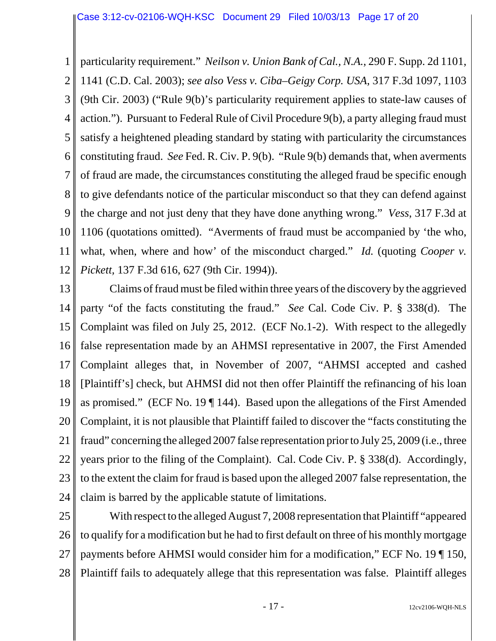1 2 3 4 5 6 7 8 9 10 11 12 particularity requirement." *Neilson v. Union Bank of Cal., N.A.*, 290 F. Supp. 2d 1101, 1141 (C.D. Cal. 2003); *see also Vess v. Ciba–Geigy Corp. USA*, 317 F.3d 1097, 1103 (9th Cir. 2003) ("Rule 9(b)'s particularity requirement applies to state-law causes of action."). Pursuant to Federal Rule of Civil Procedure 9(b), a party alleging fraud must satisfy a heightened pleading standard by stating with particularity the circumstances constituting fraud. *See* Fed. R. Civ. P. 9(b). "Rule 9(b) demands that, when averments of fraud are made, the circumstances constituting the alleged fraud be specific enough to give defendants notice of the particular misconduct so that they can defend against the charge and not just deny that they have done anything wrong." *Vess*, 317 F.3d at 1106 (quotations omitted). "Averments of fraud must be accompanied by 'the who, what, when, where and how' of the misconduct charged." *Id.* (quoting *Cooper v. Pickett,* 137 F.3d 616, 627 (9th Cir. 1994)).

13 14 15 16 17 18 19 20 21 22 23 24 Claims of fraud must be filed within three years of the discovery by the aggrieved party "of the facts constituting the fraud." *See* Cal. Code Civ. P. § 338(d). The Complaint was filed on July 25, 2012. (ECF No.1-2). With respect to the allegedly false representation made by an AHMSI representative in 2007, the First Amended Complaint alleges that, in November of 2007, "AHMSI accepted and cashed [Plaintiff's] check, but AHMSI did not then offer Plaintiff the refinancing of his loan as promised." (ECF No. 19 ¶ 144). Based upon the allegations of the First Amended Complaint, it is not plausible that Plaintiff failed to discover the "facts constituting the fraud" concerning the alleged 2007 false representation prior to July 25, 2009 (i.e., three years prior to the filing of the Complaint). Cal. Code Civ. P. § 338(d). Accordingly, to the extent the claim for fraud is based upon the alleged 2007 false representation, the claim is barred by the applicable statute of limitations.

25 26 27 28 With respect to the alleged August 7, 2008 representation that Plaintiff "appeared to qualify for a modification but he had to first default on three of his monthly mortgage payments before AHMSI would consider him for a modification," ECF No. 19 ¶ 150, Plaintiff fails to adequately allege that this representation was false. Plaintiff alleges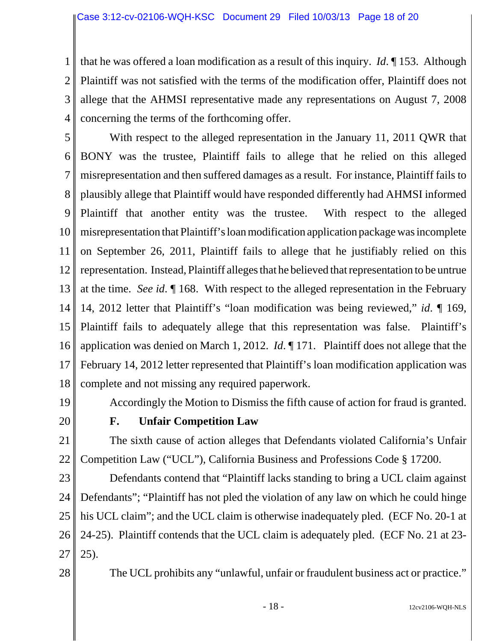1 2 3 4 that he was offered a loan modification as a result of this inquiry. *Id*. ¶ 153. Although Plaintiff was not satisfied with the terms of the modification offer, Plaintiff does not allege that the AHMSI representative made any representations on August 7, 2008 concerning the terms of the forthcoming offer.

5 6 7 8 9 10 11 12 13 14 15 16 17 18 With respect to the alleged representation in the January 11, 2011 QWR that BONY was the trustee, Plaintiff fails to allege that he relied on this alleged misrepresentation and then suffered damages as a result. For instance, Plaintiff fails to plausibly allege that Plaintiff would have responded differently had AHMSI informed Plaintiff that another entity was the trustee. With respect to the alleged misrepresentation that Plaintiff's loan modification application package was incomplete on September 26, 2011, Plaintiff fails to allege that he justifiably relied on this representation. Instead, Plaintiff alleges that he believed that representation to be untrue at the time. *See id*. ¶ 168. With respect to the alleged representation in the February 14, 2012 letter that Plaintiff's "loan modification was being reviewed," *id*. ¶ 169, Plaintiff fails to adequately allege that this representation was false. Plaintiff's application was denied on March 1, 2012. *Id*. ¶ 171. Plaintiff does not allege that the February 14, 2012 letter represented that Plaintiff's loan modification application was complete and not missing any required paperwork.

19

20

# **F. Unfair Competition Law**

21 22 The sixth cause of action alleges that Defendants violated California's Unfair Competition Law ("UCL"), California Business and Professions Code § 17200.

Accordingly the Motion to Dismiss the fifth cause of action for fraud is granted.

23 24 25 26 27 Defendants contend that "Plaintiff lacks standing to bring a UCL claim against Defendants"; "Plaintiff has not pled the violation of any law on which he could hinge his UCL claim"; and the UCL claim is otherwise inadequately pled. (ECF No. 20-1 at 24-25). Plaintiff contends that the UCL claim is adequately pled. (ECF No. 21 at 23- 25).

28

The UCL prohibits any "unlawful, unfair or fraudulent business act or practice."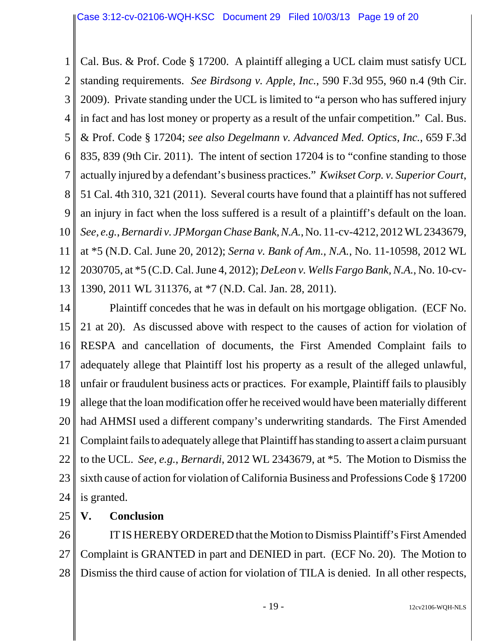1 2 3 4 5 6 7 8 9 10 11 12 13 Cal. Bus. & Prof. Code § 17200. A plaintiff alleging a UCL claim must satisfy UCL standing requirements. *See Birdsong v. Apple, Inc.*, 590 F.3d 955, 960 n.4 (9th Cir. 2009). Private standing under the UCL is limited to "a person who has suffered injury in fact and has lost money or property as a result of the unfair competition." Cal. Bus. & Prof. Code § 17204; *see also Degelmann v. Advanced Med. Optics, Inc.*, 659 F.3d 835, 839 (9th Cir. 2011). The intent of section 17204 is to "confine standing to those actually injured by a defendant's business practices." *Kwikset Corp. v. Superior Court*, 51 Cal. 4th 310, 321 (2011). Several courts have found that a plaintiff has not suffered an injury in fact when the loss suffered is a result of a plaintiff's default on the loan. *See, e.g.*, *Bernardi v. JPMorgan Chase Bank, N.A.*, No. 11-cv-4212, 2012 WL 2343679, at \*5 (N.D. Cal. June 20, 2012); *Serna v. Bank of Am., N.A.*, No. 11-10598, 2012 WL 2030705, at \*5 (C.D. Cal. June 4, 2012); *DeLeon v. Wells Fargo Bank, N.A.*, No. 10-cv-1390, 2011 WL 311376, at \*7 (N.D. Cal. Jan. 28, 2011).

14 15 16 17 18 19 20 21 22 23 24 Plaintiff concedes that he was in default on his mortgage obligation. (ECF No. 21 at 20). As discussed above with respect to the causes of action for violation of RESPA and cancellation of documents, the First Amended Complaint fails to adequately allege that Plaintiff lost his property as a result of the alleged unlawful, unfair or fraudulent business acts or practices. For example, Plaintiff fails to plausibly allege that the loan modification offer he received would have been materially different had AHMSI used a different company's underwriting standards. The First Amended Complaint fails to adequately allege that Plaintiff has standing to assert a claim pursuant to the UCL. *See, e.g.*, *Bernardi*, 2012 WL 2343679, at \*5. The Motion to Dismiss the sixth cause of action for violation of California Business and Professions Code § 17200 is granted.

25 **V. Conclusion**

26 27 28 IT IS HEREBY ORDERED that the Motion to Dismiss Plaintiff's First Amended Complaint is GRANTED in part and DENIED in part. (ECF No. 20). The Motion to Dismiss the third cause of action for violation of TILA is denied. In all other respects,